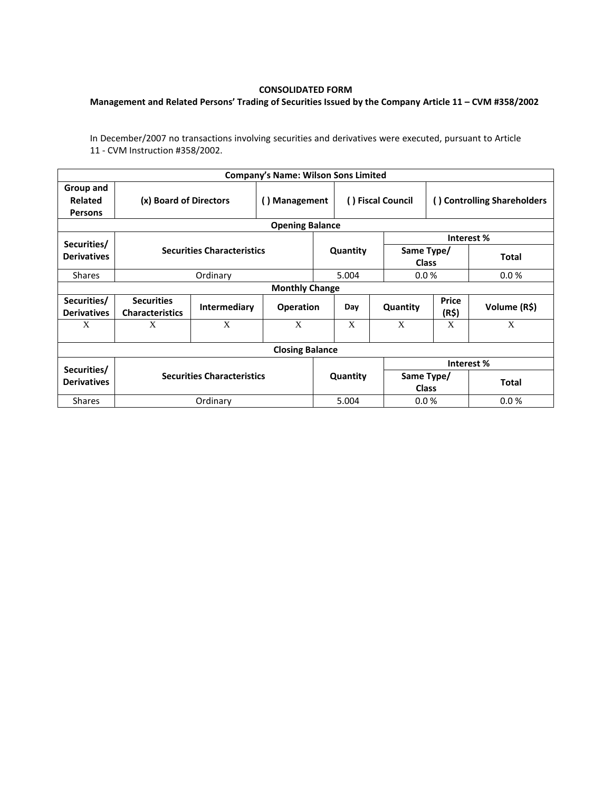## **CONSOLIDATED FORM**

## **Management and Related Persons' Trading of Securities Issued by the Company Article 11 – CVM #358/2002**

In December/2007 no transactions involving securities and derivatives were executed, pursuant to Article 11 - CVM Instruction #358/2002.

| <b>Company's Name: Wilson Sons Limited</b> |                                             |              |                  |          |                   |                            |                             |              |  |  |  |  |
|--------------------------------------------|---------------------------------------------|--------------|------------------|----------|-------------------|----------------------------|-----------------------------|--------------|--|--|--|--|
| Group and<br>Related<br><b>Persons</b>     | (x) Board of Directors                      |              | () Management    |          | () Fiscal Council |                            | () Controlling Shareholders |              |  |  |  |  |
| <b>Opening Balance</b>                     |                                             |              |                  |          |                   |                            |                             |              |  |  |  |  |
| Securities/                                |                                             |              |                  |          |                   |                            | Interest %                  |              |  |  |  |  |
| <b>Derivatives</b>                         | <b>Securities Characteristics</b>           |              |                  | Quantity |                   | Same Type/<br><b>Class</b> |                             | <b>Total</b> |  |  |  |  |
| <b>Shares</b>                              |                                             | Ordinary     |                  | 5.004    |                   | 0.0%                       |                             | 0.0%         |  |  |  |  |
| <b>Monthly Change</b>                      |                                             |              |                  |          |                   |                            |                             |              |  |  |  |  |
| Securities/<br><b>Derivatives</b>          | <b>Securities</b><br><b>Characteristics</b> | Intermediary | <b>Operation</b> |          | Day               | Quantity                   | <b>Price</b><br>(R\$)       | Volume (R\$) |  |  |  |  |
| X                                          | X                                           | X            | X                |          | X                 | X                          | X                           | X            |  |  |  |  |
| <b>Closing Balance</b>                     |                                             |              |                  |          |                   |                            |                             |              |  |  |  |  |
|                                            |                                             |              |                  |          |                   |                            | Interest%                   |              |  |  |  |  |
| Securities/<br><b>Derivatives</b>          | <b>Securities Characteristics</b>           |              |                  | Quantity |                   | Same Type/<br><b>Class</b> |                             | <b>Total</b> |  |  |  |  |
| <b>Shares</b>                              | Ordinary                                    |              |                  | 5.004    |                   | 0.0 %                      |                             | 0.0%         |  |  |  |  |